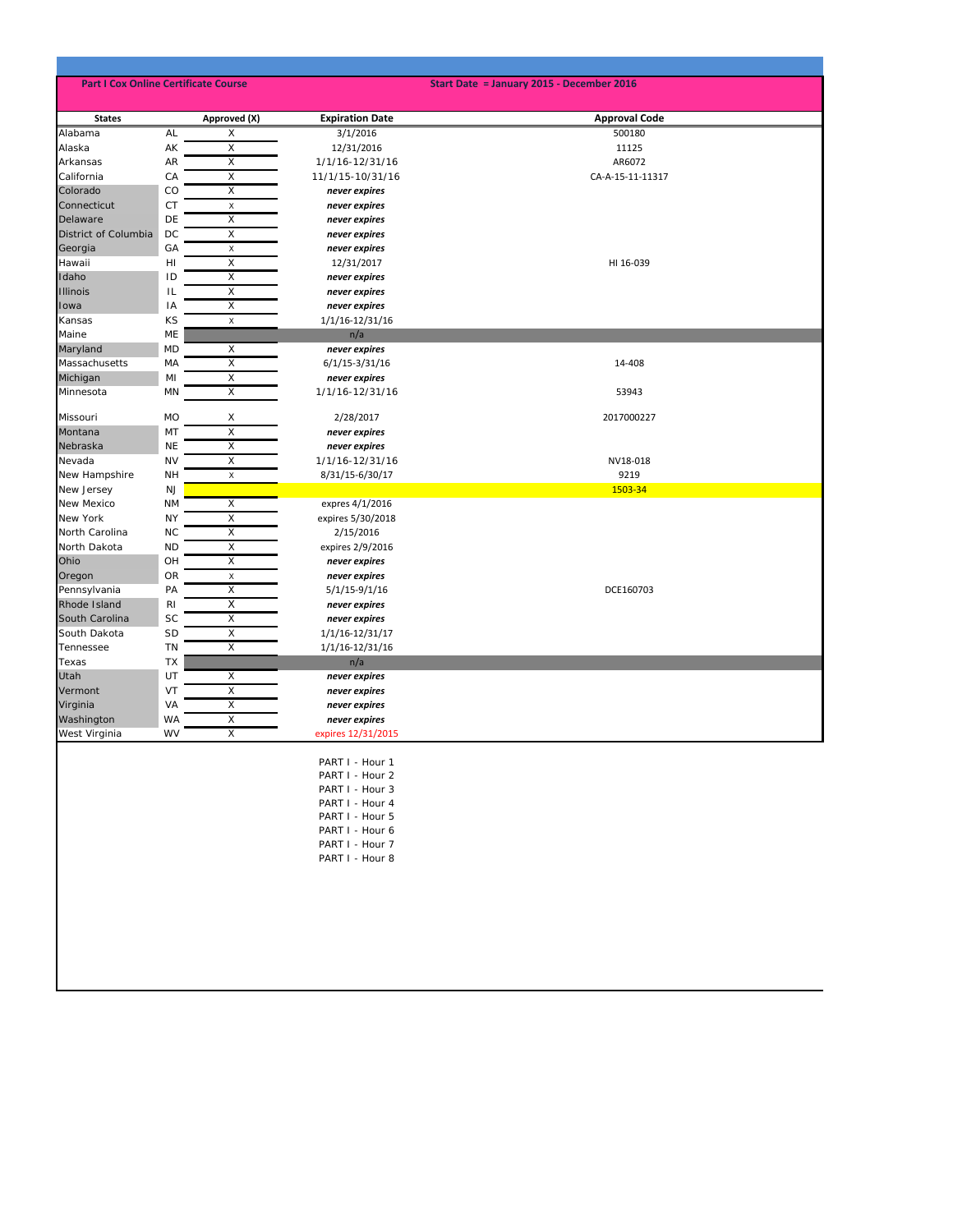| <b>Part I Cox Online Certificate Course</b> |                |                         | Start Date = January 2015 - December 2016                                                                                                            |                      |  |  |
|---------------------------------------------|----------------|-------------------------|------------------------------------------------------------------------------------------------------------------------------------------------------|----------------------|--|--|
| <b>States</b>                               |                | Approved (X)            | <b>Expiration Date</b>                                                                                                                               | <b>Approval Code</b> |  |  |
| Alabama                                     | AL             | X                       | 3/1/2016                                                                                                                                             | 500180               |  |  |
| Alaska                                      | AK             | X                       | 12/31/2016                                                                                                                                           | 11125                |  |  |
| Arkansas                                    | AR             | Х                       | 1/1/16-12/31/16                                                                                                                                      | AR6072               |  |  |
| California                                  | CA             | X                       | 11/1/15-10/31/16                                                                                                                                     | CA-A-15-11-11317     |  |  |
| Colorado                                    | CO             | X                       | never expires                                                                                                                                        |                      |  |  |
| Connecticut                                 | CT             | $\mathsf X$             | never expires                                                                                                                                        |                      |  |  |
| Delaware                                    | DE             | X                       | never expires                                                                                                                                        |                      |  |  |
| District of Columbia                        | DC             | X                       | never expires                                                                                                                                        |                      |  |  |
| Georgia                                     | GA             | X                       | never expires                                                                                                                                        |                      |  |  |
| Hawaii                                      | HI             | X                       | 12/31/2017                                                                                                                                           | HI 16-039            |  |  |
| Idaho                                       | ID             | X                       | never expires                                                                                                                                        |                      |  |  |
| <b>Illinois</b>                             | IL             | X                       | never expires                                                                                                                                        |                      |  |  |
| Iowa                                        | IA             | X                       | never expires                                                                                                                                        |                      |  |  |
| Kansas                                      | KS             | X                       | 1/1/16-12/31/16                                                                                                                                      |                      |  |  |
| Maine                                       | ME             |                         | n/a                                                                                                                                                  |                      |  |  |
| Maryland                                    | <b>MD</b>      | Х                       | never expires                                                                                                                                        |                      |  |  |
| Massachusetts                               | MA             | $\overline{\mathsf{x}}$ | 6/1/15-3/31/16                                                                                                                                       | 14-408               |  |  |
| Michigan                                    | MI             | X                       | never expires                                                                                                                                        |                      |  |  |
| Minnesota                                   | MN             | $\overline{X}$          | 1/1/16-12/31/16                                                                                                                                      | 53943                |  |  |
|                                             |                |                         |                                                                                                                                                      |                      |  |  |
| Missouri                                    | <b>MO</b>      | Х                       | 2/28/2017                                                                                                                                            | 2017000227           |  |  |
| Montana                                     | MT             | X                       | never expires                                                                                                                                        |                      |  |  |
| Nebraska                                    | <b>NE</b>      | X                       | never expires                                                                                                                                        |                      |  |  |
| Nevada                                      | <b>NV</b>      | Χ                       | 1/1/16-12/31/16                                                                                                                                      | NV18-018             |  |  |
| New Hampshire                               | <b>NH</b>      | X                       | 8/31/15-6/30/17                                                                                                                                      | 9219                 |  |  |
| New Jersey                                  | <b>NJ</b>      |                         |                                                                                                                                                      | 1503-34              |  |  |
| New Mexico                                  | <b>NM</b>      | X                       | expres 4/1/2016                                                                                                                                      |                      |  |  |
| New York                                    | <b>NY</b>      | Х                       | expires 5/30/2018                                                                                                                                    |                      |  |  |
| North Carolina                              | <b>NC</b>      | X                       | 2/15/2016                                                                                                                                            |                      |  |  |
| North Dakota                                | <b>ND</b>      | X                       | expires 2/9/2016                                                                                                                                     |                      |  |  |
| Ohio                                        | OH             | X                       | never expires                                                                                                                                        |                      |  |  |
| Oregon                                      | OR             | $\mathsf X$             | never expires                                                                                                                                        |                      |  |  |
| Pennsylvania                                | PA             | X                       | $5/1/15-9/1/16$                                                                                                                                      | DCE160703            |  |  |
| Rhode Island                                | R <sub>1</sub> | X                       | never expires                                                                                                                                        |                      |  |  |
| South Carolina                              | <b>SC</b>      | X                       | never expires                                                                                                                                        |                      |  |  |
| South Dakota                                | <b>SD</b>      | X                       | 1/1/16-12/31/17                                                                                                                                      |                      |  |  |
| Tennessee                                   | TN             | X                       | 1/1/16-12/31/16                                                                                                                                      |                      |  |  |
| Texas                                       | TX             |                         |                                                                                                                                                      |                      |  |  |
| Utah                                        | UT             | X                       | n/a<br>never expires                                                                                                                                 |                      |  |  |
| Vermont                                     | VT             | X                       |                                                                                                                                                      |                      |  |  |
| Virginia                                    | VA             | X                       | never expires                                                                                                                                        |                      |  |  |
|                                             | <b>WA</b>      | X                       | never expires                                                                                                                                        |                      |  |  |
| Washington<br>West Virginia                 | <b>WV</b>      | X                       | never expires<br>expires 12/31/2015                                                                                                                  |                      |  |  |
|                                             |                |                         | PART I - Hour 1<br>PART I - Hour 2<br>PART I - Hour 3<br>PART I - Hour 4<br>PART I - Hour 5<br>PART I - Hour 6<br>PART I - Hour 7<br>PART I - Hour 8 |                      |  |  |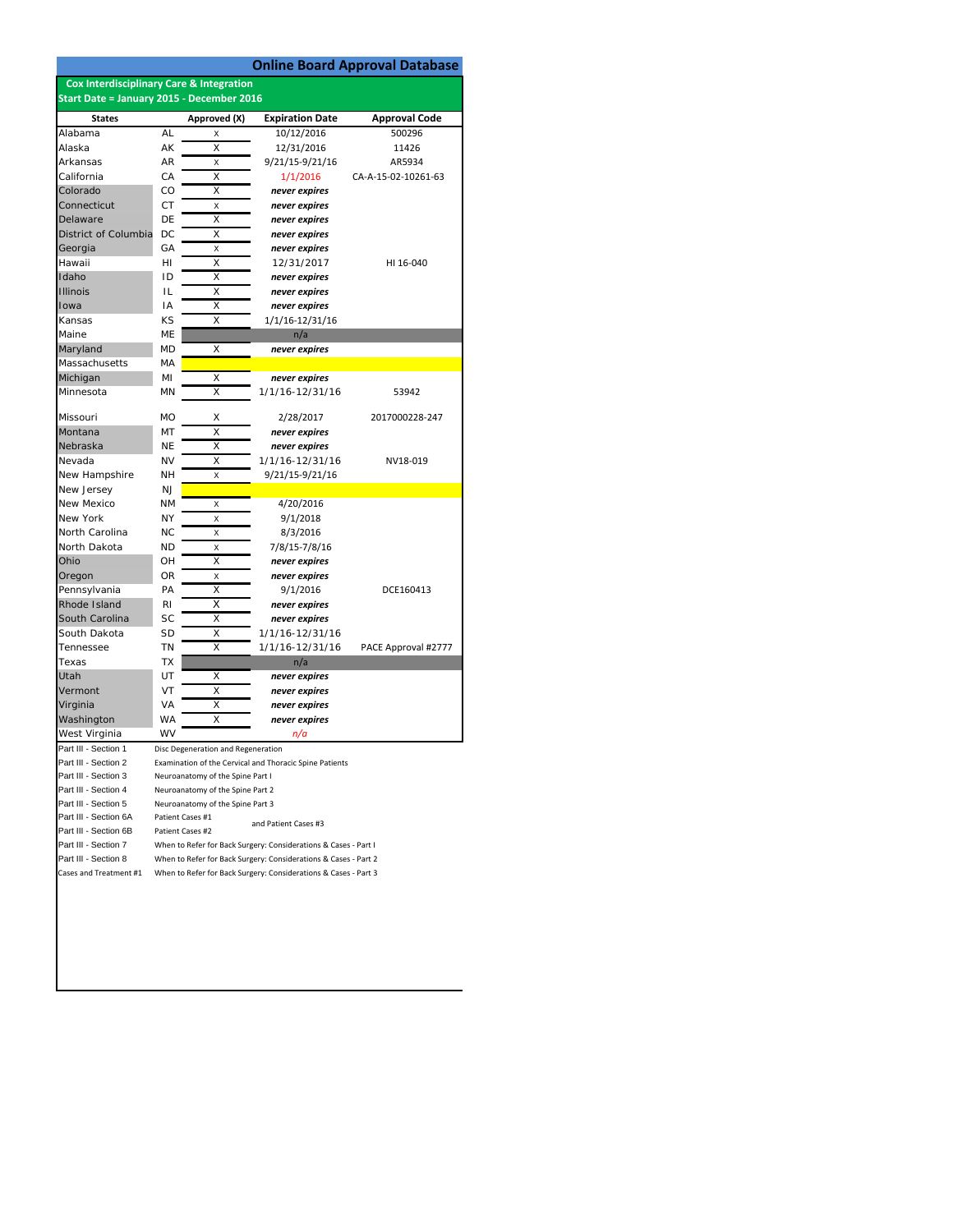|                                                     |                                                                 |                                    |                                                                 | <b>Online Board Approval Database</b> |  |
|-----------------------------------------------------|-----------------------------------------------------------------|------------------------------------|-----------------------------------------------------------------|---------------------------------------|--|
| <b>Cox Interdisciplinary Care &amp; Integration</b> |                                                                 |                                    |                                                                 |                                       |  |
| Start Date = January 2015 - December 2016           |                                                                 |                                    |                                                                 |                                       |  |
| <b>States</b>                                       |                                                                 | Approved (X)                       | <b>Expiration Date</b>                                          | <b>Approval Code</b>                  |  |
| Alabama                                             | AL                                                              | Χ                                  | 10/12/2016                                                      | 500296                                |  |
| Alaska                                              | AΚ                                                              | X                                  | 12/31/2016                                                      | 11426                                 |  |
| Arkansas                                            | AR                                                              | X                                  | 9/21/15-9/21/16                                                 | AR5934                                |  |
| California                                          | CA                                                              | X                                  | 1/1/2016                                                        | CA-A-15-02-10261-63                   |  |
| Colorado                                            | CO                                                              | X                                  | never expires                                                   |                                       |  |
| Connecticut                                         | СT                                                              | X                                  | never expires                                                   |                                       |  |
| Delaware                                            | DE                                                              | Χ                                  | never expires                                                   |                                       |  |
| District of Columbia                                | DC                                                              | X                                  | never expires                                                   |                                       |  |
| Georgia                                             | GA                                                              | X                                  | never expires                                                   |                                       |  |
| Hawaii                                              | HI                                                              | X                                  | 12/31/2017                                                      | HI 16-040                             |  |
| Idaho                                               | ID                                                              | X                                  | never expires                                                   |                                       |  |
| <b>Illinois</b>                                     | IL                                                              | Χ                                  | never expires                                                   |                                       |  |
| Iowa                                                | ١A                                                              | Χ                                  | never expires                                                   |                                       |  |
| Kansas                                              | ΚS                                                              | X                                  | 1/1/16-12/31/16                                                 |                                       |  |
| Maine                                               | ME                                                              |                                    | n/a                                                             |                                       |  |
| Maryland                                            | MD                                                              | X                                  | never expires                                                   |                                       |  |
| Massachusetts                                       | МA                                                              |                                    |                                                                 |                                       |  |
| Michigan                                            | MI                                                              | Χ                                  | never expires                                                   |                                       |  |
| Minnesota                                           | MN                                                              | X                                  | 1/1/16-12/31/16                                                 | 53942                                 |  |
|                                                     |                                                                 |                                    |                                                                 |                                       |  |
| Missouri                                            | MO                                                              | х                                  | 2/28/2017                                                       | 2017000228-247                        |  |
| Montana                                             | MT                                                              | Χ                                  | never expires                                                   |                                       |  |
| Nebraska                                            | NE                                                              | X                                  | never expires                                                   |                                       |  |
| Nevada                                              | NV                                                              | X                                  | 1/1/16-12/31/16                                                 | NV18-019                              |  |
| New Hampshire                                       | NΗ                                                              | X                                  | 9/21/15-9/21/16                                                 |                                       |  |
| New Jersey                                          | NJ                                                              |                                    |                                                                 |                                       |  |
| New Mexico                                          | ΝM                                                              | X                                  | 4/20/2016                                                       |                                       |  |
| New York                                            | NY                                                              | Χ                                  | 9/1/2018                                                        |                                       |  |
| North Carolina                                      | ΝC                                                              | X                                  | 8/3/2016                                                        |                                       |  |
| North Dakota                                        | <b>ND</b>                                                       | X                                  | 7/8/15-7/8/16                                                   |                                       |  |
| Ohio                                                | OН                                                              | X                                  | never expires                                                   |                                       |  |
| Oregon                                              | <b>OR</b>                                                       | X                                  | never expires                                                   |                                       |  |
| Pennsylvania                                        | PA                                                              | X                                  | 9/1/2016                                                        | DCE160413                             |  |
| Rhode Island                                        | RI                                                              | Χ                                  | never expires                                                   |                                       |  |
| South Carolina                                      | SC                                                              | х                                  | never expires                                                   |                                       |  |
| South Dakota                                        | SD                                                              | X                                  | 1/1/16-12/31/16                                                 |                                       |  |
| Tennessee                                           | ΤN                                                              | X                                  | 1/1/16-12/31/16                                                 | PACE Approval #2777                   |  |
| Texas                                               | ТX                                                              |                                    | n/a                                                             |                                       |  |
| Utah                                                | UT                                                              | X                                  | never expires                                                   |                                       |  |
| Vermont                                             | VT                                                              | Χ                                  | never expires                                                   |                                       |  |
| Virginia                                            | VA                                                              | Χ                                  | never expires                                                   |                                       |  |
| Washington                                          | WA                                                              | X                                  | never expires                                                   |                                       |  |
| West Virginia                                       | WV                                                              |                                    | n/a                                                             |                                       |  |
| Part III - Section 1                                |                                                                 | Disc Degeneration and Regeneration |                                                                 |                                       |  |
| Part III - Section 2                                |                                                                 |                                    | Examination of the Cervical and Thoracic Spine Patients         |                                       |  |
| Part III - Section 3                                |                                                                 | Neuroanatomy of the Spine Part I   |                                                                 |                                       |  |
| Part III - Section 4                                |                                                                 | Neuroanatomy of the Spine Part 2   |                                                                 |                                       |  |
| Part III - Section 5                                |                                                                 | Neuroanatomy of the Spine Part 3   |                                                                 |                                       |  |
| Part III - Section 6A                               |                                                                 | Patient Cases #1                   | and Patient Cases #3                                            |                                       |  |
| Part III - Section 6B                               |                                                                 | Patient Cases #2                   |                                                                 |                                       |  |
| Part III - Section 7                                |                                                                 |                                    | When to Refer for Back Surgery: Considerations & Cases - Part I |                                       |  |
| Part III - Section 8                                | When to Refer for Back Surgery: Considerations & Cases - Part 2 |                                    |                                                                 |                                       |  |
| Cases and Treatment #1                              |                                                                 |                                    | When to Refer for Back Surgery: Considerations & Cases - Part 3 |                                       |  |
|                                                     |                                                                 |                                    |                                                                 |                                       |  |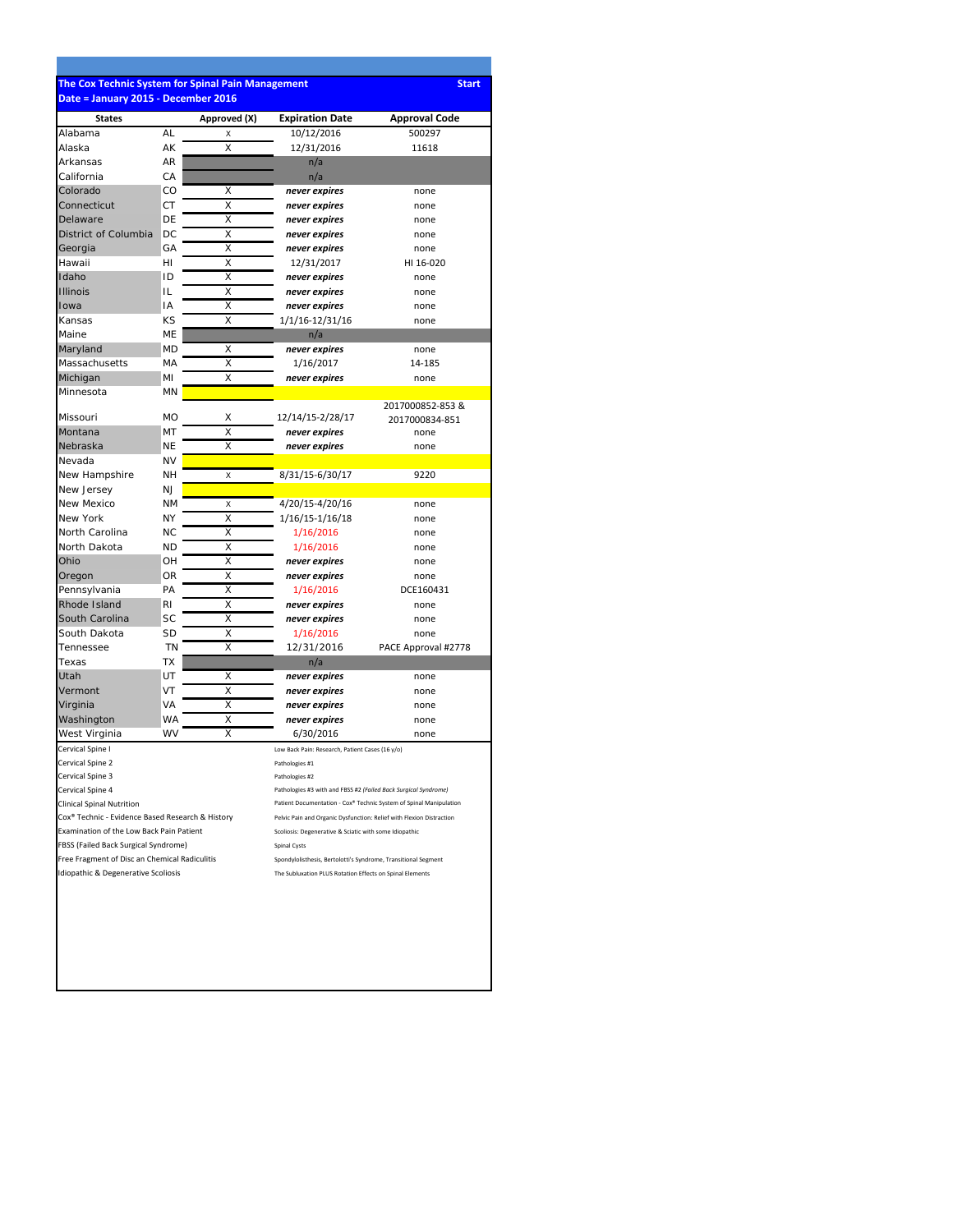## **The Cox Technic System for Spinal Pain Management Start Date = January 2015 ‐ December 2016**

| <b>States</b>                                    |           | Approved (X) | <b>Expiration Date</b>                                               | <b>Approval Code</b>                                               |  |
|--------------------------------------------------|-----------|--------------|----------------------------------------------------------------------|--------------------------------------------------------------------|--|
| Alabama                                          | AL        | Χ            | 10/12/2016                                                           | 500297                                                             |  |
| Alaska                                           | AΚ        | X            | 12/31/2016                                                           | 11618                                                              |  |
| Arkansas                                         | AR        |              | n/a                                                                  |                                                                    |  |
| California                                       | СA        |              | n/a                                                                  |                                                                    |  |
| Colorado                                         | CO        | х            | never expires                                                        | none                                                               |  |
| Connecticut                                      | СT        | Χ            | never expires                                                        | none                                                               |  |
| Delaware                                         | DE        | X            | never expires                                                        | none                                                               |  |
| District of Columbia                             | DC        | Χ            | never expires                                                        | none                                                               |  |
| Georgia                                          | GA        | X            | never expires                                                        | none                                                               |  |
| Hawaii                                           | нı        | Χ            | 12/31/2017                                                           | HI 16-020                                                          |  |
| Idaho                                            | ID        | X            | never expires                                                        | none                                                               |  |
| <b>Illinois</b>                                  | IL        | Χ            | never expires                                                        | none                                                               |  |
| Iowa                                             | ΙA        | X            | never expires                                                        | none                                                               |  |
| Kansas                                           | KS        | X            | 1/1/16-12/31/16                                                      | none                                                               |  |
| Maine                                            | МE        |              |                                                                      |                                                                    |  |
| Maryland                                         | МD        | X            | n/a                                                                  | none                                                               |  |
|                                                  |           |              | never expires                                                        |                                                                    |  |
| Massachusetts                                    | MA        | Χ            | 1/16/2017                                                            | 14-185                                                             |  |
| Michigan                                         | MI        | X            | never expires                                                        | none                                                               |  |
| Minnesota                                        | ΜN        |              |                                                                      |                                                                    |  |
| Missouri                                         | MO        | Χ            | 12/14/15-2/28/17                                                     | 2017000852-853 &                                                   |  |
| Montana                                          | MT        | X            | never expires                                                        | 2017000834-851<br>none                                             |  |
| Nebraska                                         | NΕ        | X            | never expires                                                        | none                                                               |  |
| Nevada                                           | NV        |              |                                                                      |                                                                    |  |
| New Hampshire                                    | NΗ        | X            | 8/31/15-6/30/17                                                      | 9220                                                               |  |
| New Jersey                                       | ΝI        |              |                                                                      |                                                                    |  |
|                                                  |           |              |                                                                      |                                                                    |  |
| New Mexico<br><b>New York</b>                    | <b>NM</b> | X            | 4/20/15-4/20/16                                                      | none                                                               |  |
|                                                  | ΝY        | X            | 1/16/15-1/16/18                                                      | none                                                               |  |
| North Carolina                                   | <b>NC</b> | X            | 1/16/2016                                                            | none                                                               |  |
| North Dakota                                     | ΝD        | $\times$     | 1/16/2016                                                            | none                                                               |  |
| Ohio                                             | OH        | Χ            | never expires                                                        | none                                                               |  |
| Oregon                                           | OR        | Χ            | never expires                                                        | none                                                               |  |
| Pennsylvania                                     | PA        | X            | 1/16/2016                                                            | DCE160431                                                          |  |
| Rhode Island                                     | RI        | X            | never expires                                                        | none                                                               |  |
| South Carolina                                   | SC        | X            | never expires                                                        | none                                                               |  |
| South Dakota                                     | SD        | Χ            | 1/16/2016                                                            | none                                                               |  |
| Tennessee                                        | <b>TN</b> | Χ            | 12/31/2016                                                           | PACE Approval #2778                                                |  |
| Texas                                            | ТX        |              | n/a                                                                  |                                                                    |  |
| Utah                                             | UT        | X            | never expires                                                        | none                                                               |  |
| Vermont                                          | VT        | X            | never expires                                                        | none                                                               |  |
| Virginia                                         | VA        | Χ            | never expires                                                        | none                                                               |  |
| Washington                                       | WA        | Χ            | never expires                                                        | none                                                               |  |
| West Virginia                                    | <b>WV</b> | X            | 6/30/2016                                                            | none                                                               |  |
| Cervical Spine I                                 |           |              | Low Back Pain: Research, Patient Cases (16 y/o)                      |                                                                    |  |
| Cervical Spine 2                                 |           |              | Pathologies #1                                                       |                                                                    |  |
| Cervical Spine 3                                 |           |              | Pathologies #2                                                       |                                                                    |  |
| Cervical Spine 4                                 |           |              | Pathologies #3 with and FBSS #2 (Failed Back Surgical Syndrome)      |                                                                    |  |
| <b>Clinical Spinal Nutrition</b>                 |           |              |                                                                      | Patient Documentation - Cox® Technic System of Spinal Manipulation |  |
| Cox® Technic - Evidence Based Research & History |           |              | Pelvic Pain and Organic Dysfunction: Relief with Flexion Distraction |                                                                    |  |
| Examination of the Low Back Pain Patient         |           |              | Scoliosis: Degenerative & Sciatic with some Idiopathic               |                                                                    |  |
| FBSS (Failed Back Surgical Syndrome)             |           |              | Spinal Cysts                                                         |                                                                    |  |
| Free Fragment of Disc an Chemical Radiculitis    |           |              | Spondylolisthesis, Bertolotti's Syndrome, Transitional Segment       |                                                                    |  |
| Idiopathic & Degenerative Scoliosis              |           |              | The Subluxation PLUS Rotation Effects on Spinal Elements             |                                                                    |  |
|                                                  |           |              |                                                                      |                                                                    |  |